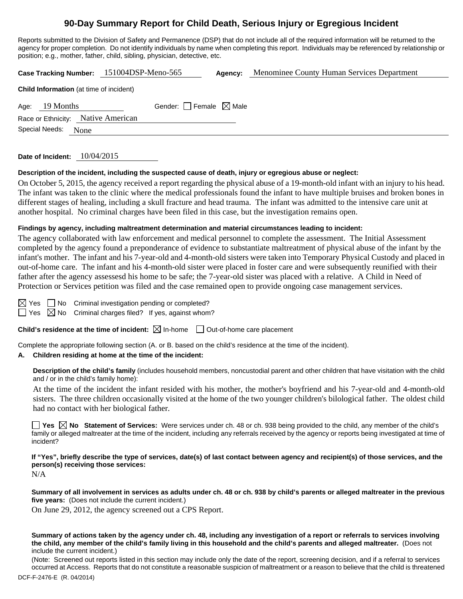# **90-Day Summary Report for Child Death, Serious Injury or Egregious Incident**

Reports submitted to the Division of Safety and Permanence (DSP) that do not include all of the required information will be returned to the agency for proper completion. Do not identify individuals by name when completing this report. Individuals may be referenced by relationship or position; e.g., mother, father, child, sibling, physician, detective, etc.

|                                                | Case Tracking Number: 151004DSP-Meno-565 | Agency: | Menominee County Human Services Department |  |  |  |  |  |
|------------------------------------------------|------------------------------------------|---------|--------------------------------------------|--|--|--|--|--|
| <b>Child Information</b> (at time of incident) |                                          |         |                                            |  |  |  |  |  |
| 19 Months<br>Age:                              | Gender: Female $\boxtimes$ Male          |         |                                            |  |  |  |  |  |
| Race or Ethnicity: Native American             |                                          |         |                                            |  |  |  |  |  |
| Special Needs:<br>None                         |                                          |         |                                            |  |  |  |  |  |
|                                                |                                          |         |                                            |  |  |  |  |  |

**Date of Incident:** 10/04/2015

#### **Description of the incident, including the suspected cause of death, injury or egregious abuse or neglect:**

On October 5, 2015, the agency received a report regarding the physical abuse of a 19-month-old infant with an injury to his head. The infant was taken to the clinic where the medical professionals found the infant to have multiple bruises and broken bones in different stages of healing, including a skull fracture and head trauma. The infant was admitted to the intensive care unit at another hospital. No criminal charges have been filed in this case, but the investigation remains open.

#### **Findings by agency, including maltreatment determination and material circumstances leading to incident:**

The agency collaborated with law enforcement and medical personnel to complete the assessment. The Initial Assessment completed by the agency found a preponderance of evidence to substantiate maltreatment of physical abuse of the infant by the infant's mother. The infant and his 7-year-old and 4-month-old sisters were taken into Temporary Physical Custody and placed in out-of-home care. The infant and his 4-month-old sister were placed in foster care and were subsequently reunified with their father after the agency assessesd his home to be safe; the 7-year-old sister was placed with a relative. A Child in Need of Protection or Services petition was filed and the case remained open to provide ongoing case management services.

 $\Box$  No Criminal investigation pending or completed?

 $\Box$  Yes  $\boxtimes$  No Criminal charges filed? If yes, against whom?

**Child's residence at the time of incident:**  $\boxtimes$  In-home  $\Box$  Out-of-home care placement

Complete the appropriate following section (A. or B. based on the child's residence at the time of the incident).

#### **A. Children residing at home at the time of the incident:**

**Description of the child's family** (includes household members, noncustodial parent and other children that have visitation with the child and / or in the child's family home):

 At the time of the incident the infant resided with his mother, the mother's boyfriend and his 7-year-old and 4-month-old sisters. The three children occasionally visited at the home of the two younger children's bilological father. The oldest child had no contact with her biological father.

**T** Yes  $\boxtimes$  No Statement of Services: Were services under ch. 48 or ch. 938 being provided to the child, any member of the child's family or alleged maltreater at the time of the incident, including any referrals received by the agency or reports being investigated at time of incident?

**If "Yes", briefly describe the type of services, date(s) of last contact between agency and recipient(s) of those services, and the person(s) receiving those services:** 

N/A

**Summary of all involvement in services as adults under ch. 48 or ch. 938 by child's parents or alleged maltreater in the previous five years:** (Does not include the current incident.)

On June 29, 2012, the agency screened out a CPS Report.

**Summary of actions taken by the agency under ch. 48, including any investigation of a report or referrals to services involving the child, any member of the child's family living in this household and the child's parents and alleged maltreater.** (Does not include the current incident.)

(Note: Screened out reports listed in this section may include only the date of the report, screening decision, and if a referral to services occurred at Access. Reports that do not constitute a reasonable suspicion of maltreatment or a reason to believe that the child is threatened